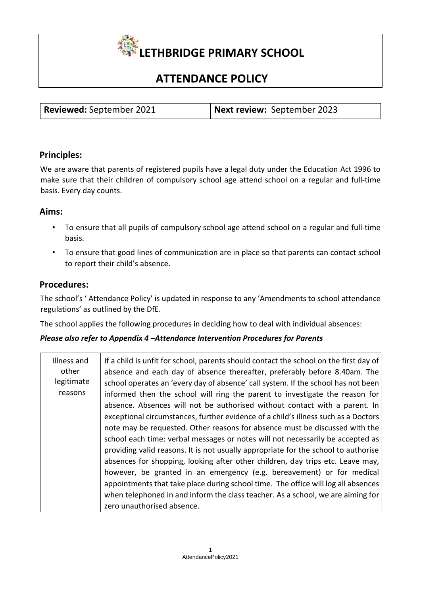

# **ATTENDANCE POLICY**

| <b>Reviewed:</b> September 2021 | Next review: September 2023 |
|---------------------------------|-----------------------------|

## **Principles:**

We are aware that parents of registered pupils have a legal duty under the Education Act 1996 to make sure that their children of compulsory school age attend school on a regular and full-time basis. Every day counts.

## **Aims:**

- To ensure that all pupils of compulsory school age attend school on a regular and full-time basis.
- To ensure that good lines of communication are in place so that parents can contact school to report their child's absence.

## **Procedures:**

The school's ' Attendance Policy' is updated in response to any 'Amendments to school attendance regulations' as outlined by the DfE.

The school applies the following procedures in deciding how to deal with individual absences:

## *Please also refer to Appendix 4 –Attendance Intervention Procedures for Parents*

| Illness and<br>other | If a child is unfit for school, parents should contact the school on the first day of<br>absence and each day of absence thereafter, preferably before 8.40am. The |
|----------------------|--------------------------------------------------------------------------------------------------------------------------------------------------------------------|
| legitimate           | school operates an 'every day of absence' call system. If the school has not been                                                                                  |
| reasons              | informed then the school will ring the parent to investigate the reason for                                                                                        |
|                      | absence. Absences will not be authorised without contact with a parent. In                                                                                         |
|                      | exceptional circumstances, further evidence of a child's illness such as a Doctors                                                                                 |
|                      | note may be requested. Other reasons for absence must be discussed with the                                                                                        |
|                      | school each time: verbal messages or notes will not necessarily be accepted as                                                                                     |
|                      | providing valid reasons. It is not usually appropriate for the school to authorise                                                                                 |
|                      | absences for shopping, looking after other children, day trips etc. Leave may,                                                                                     |
|                      | however, be granted in an emergency (e.g. bereavement) or for medical                                                                                              |
|                      | appointments that take place during school time. The office will log all absences                                                                                  |
|                      | when telephoned in and inform the class teacher. As a school, we are aiming for                                                                                    |
|                      | zero unauthorised absence.                                                                                                                                         |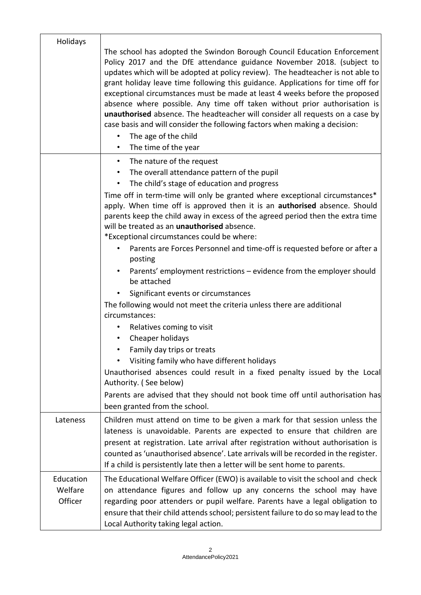| Holidays                        | The school has adopted the Swindon Borough Council Education Enforcement<br>Policy 2017 and the DfE attendance guidance November 2018. (subject to<br>updates which will be adopted at policy review). The headteacher is not able to<br>grant holiday leave time following this guidance. Applications for time off for<br>exceptional circumstances must be made at least 4 weeks before the proposed<br>absence where possible. Any time off taken without prior authorisation is<br>unauthorised absence. The headteacher will consider all requests on a case by<br>case basis and will consider the following factors when making a decision:<br>The age of the child<br>$\bullet$<br>The time of the year<br>$\bullet$                                                                                                                                                                                                                                                                                                                                                                                                                                                                  |
|---------------------------------|------------------------------------------------------------------------------------------------------------------------------------------------------------------------------------------------------------------------------------------------------------------------------------------------------------------------------------------------------------------------------------------------------------------------------------------------------------------------------------------------------------------------------------------------------------------------------------------------------------------------------------------------------------------------------------------------------------------------------------------------------------------------------------------------------------------------------------------------------------------------------------------------------------------------------------------------------------------------------------------------------------------------------------------------------------------------------------------------------------------------------------------------------------------------------------------------|
|                                 | The nature of the request<br>$\bullet$<br>The overall attendance pattern of the pupil<br>$\bullet$<br>The child's stage of education and progress<br>Time off in term-time will only be granted where exceptional circumstances*<br>apply. When time off is approved then it is an authorised absence. Should<br>parents keep the child away in excess of the agreed period then the extra time<br>will be treated as an unauthorised absence.<br>*Exceptional circumstances could be where:<br>Parents are Forces Personnel and time-off is requested before or after a<br>posting<br>Parents' employment restrictions – evidence from the employer should<br>$\bullet$<br>be attached<br>Significant events or circumstances<br>The following would not meet the criteria unless there are additional<br>circumstances:<br>Relatives coming to visit<br>Cheaper holidays<br>Family day trips or treats<br>Visiting family who have different holidays<br>$\bullet$<br>Unauthorised absences could result in a fixed penalty issued by the Local<br>Authority. (See below)<br>Parents are advised that they should not book time off until authorisation has<br>been granted from the school. |
| Lateness                        | Children must attend on time to be given a mark for that session unless the<br>lateness is unavoidable. Parents are expected to ensure that children are<br>present at registration. Late arrival after registration without authorisation is<br>counted as 'unauthorised absence'. Late arrivals will be recorded in the register.<br>If a child is persistently late then a letter will be sent home to parents.                                                                                                                                                                                                                                                                                                                                                                                                                                                                                                                                                                                                                                                                                                                                                                             |
| Education<br>Welfare<br>Officer | The Educational Welfare Officer (EWO) is available to visit the school and check<br>on attendance figures and follow up any concerns the school may have<br>regarding poor attenders or pupil welfare. Parents have a legal obligation to<br>ensure that their child attends school; persistent failure to do so may lead to the<br>Local Authority taking legal action.                                                                                                                                                                                                                                                                                                                                                                                                                                                                                                                                                                                                                                                                                                                                                                                                                       |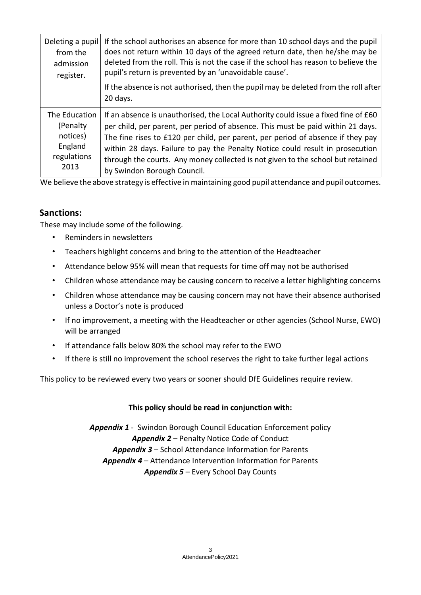| Deleting a pupil | If the school authorises an absence for more than 10 school days and the pupil                  |
|------------------|-------------------------------------------------------------------------------------------------|
| from the         | does not return within 10 days of the agreed return date, then he/she may be                    |
| admission        | deleted from the roll. This is not the case if the school has reason to believe the             |
| register.        | pupil's return is prevented by an 'unavoidable cause'.                                          |
|                  | If the absence is not authorised, then the pupil may be deleted from the roll after<br>20 days. |
| The Education    | If an absence is unauthorised, the Local Authority could issue a fixed fine of £60              |
| (Penalty         | per child, per parent, per period of absence. This must be paid within 21 days.                 |
| notices)         | The fine rises to £120 per child, per parent, per period of absence if they pay                 |
| England          | within 28 days. Failure to pay the Penalty Notice could result in prosecution                   |
| regulations      | through the courts. Any money collected is not given to the school but retained                 |
| 2013             | by Swindon Borough Council.                                                                     |

We believe the above strategy is effective in maintaining good pupil attendance and pupil outcomes.

## **Sanctions:**

These may include some of the following.

- Reminders in newsletters
- Teachers highlight concerns and bring to the attention of the Headteacher
- Attendance below 95% will mean that requests for time off may not be authorised
- Children whose attendance may be causing concern to receive a letter highlighting concerns
- Children whose attendance may be causing concern may not have their absence authorised unless a Doctor's note is produced
- If no improvement, a meeting with the Headteacher or other agencies (School Nurse, EWO) will be arranged
- If attendance falls below 80% the school may refer to the EWO
- If there is still no improvement the school reserves the right to take further legal actions

This policy to be reviewed every two years or sooner should DfE Guidelines require review.

## **This policy should be read in conjunction with:**

*Appendix 1* ‐ Swindon Borough Council Education Enforcement policy *Appendix 2* – Penalty Notice Code of Conduct *Appendix 3* – School Attendance Information for Parents *Appendix 4* – Attendance Intervention Information for Parents *Appendix 5* – Every School Day Counts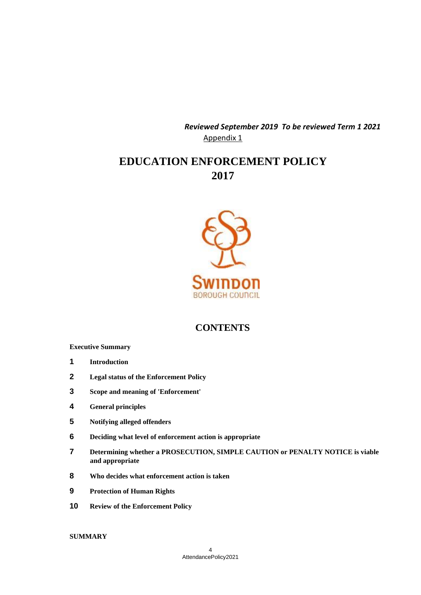*Reviewed September 2019 To be reviewed Term 1 2021*  Appendix 1

# **EDUCATION ENFORCEMENT POLICY 2017**



# **CONTENTS**

#### **Executive Summary**

- **1 Introduction**
- **2 Legal status of the Enforcement Policy**
- **3 Scope and meaning of 'Enforcement'**
- **4 General principles**
- **5 Notifying alleged offenders**
- **6 Deciding what level of enforcement action is appropriate**
- **7 Determining whether a PROSECUTION, SIMPLE CAUTION or PENALTY NOTICE is viable and appropriate**
- **8 Who decides what enforcement action is taken**
- **9 Protection of Human Rights**
- **10 Review of the Enforcement Policy**

#### **SUMMARY**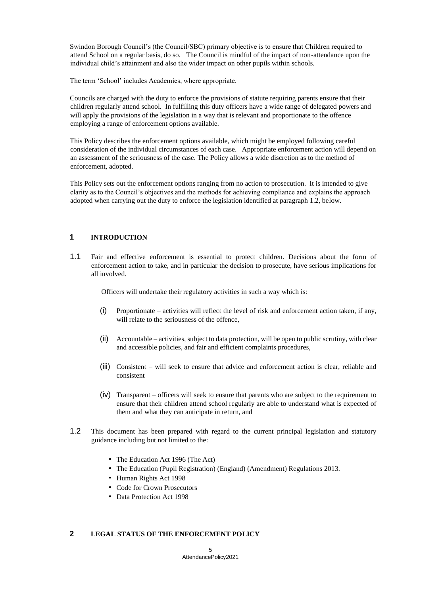Swindon Borough Council's (the Council/SBC) primary objective is to ensure that Children required to attend School on a regular basis, do so. The Council is mindful of the impact of non-attendance upon the individual child's attainment and also the wider impact on other pupils within schools.

The term 'School' includes Academies, where appropriate.

Councils are charged with the duty to enforce the provisions of statute requiring parents ensure that their children regularly attend school. In fulfilling this duty officers have a wide range of delegated powers and will apply the provisions of the legislation in a way that is relevant and proportionate to the offence employing a range of enforcement options available.

This Policy describes the enforcement options available, which might be employed following careful consideration of the individual circumstances of each case. Appropriate enforcement action will depend on an assessment of the seriousness of the case. The Policy allows a wide discretion as to the method of enforcement, adopted.

This Policy sets out the enforcement options ranging from no action to prosecution. It is intended to give clarity as to the Council's objectives and the methods for achieving compliance and explains the approach adopted when carrying out the duty to enforce the legislation identified at paragraph 1.2, below.

### **1 INTRODUCTION**

1.1 Fair and effective enforcement is essential to protect children. Decisions about the form of enforcement action to take, and in particular the decision to prosecute, have serious implications for all involved.

Officers will undertake their regulatory activities in such a way which is:

- (i) Proportionate activities will reflect the level of risk and enforcement action taken, if any, will relate to the seriousness of the offence,
- (ii) Accountable activities, subject to data protection, will be open to public scrutiny, with clear and accessible policies, and fair and efficient complaints procedures,
- (iii) Consistent will seek to ensure that advice and enforcement action is clear, reliable and consistent
- (iv) Transparent officers will seek to ensure that parents who are subject to the requirement to ensure that their children attend school regularly are able to understand what is expected of them and what they can anticipate in return, and
- 1.2 This document has been prepared with regard to the current principal legislation and statutory guidance including but not limited to the:
	- The Education Act 1996 (The Act)
	- The Education (Pupil Registration) (England) (Amendment) Regulations 2013.
	- Human Rights Act 1998
	- Code for Crown Prosecutors
	- Data Protection Act 1998

#### **2 LEGAL STATUS OF THE ENFORCEMENT POLICY**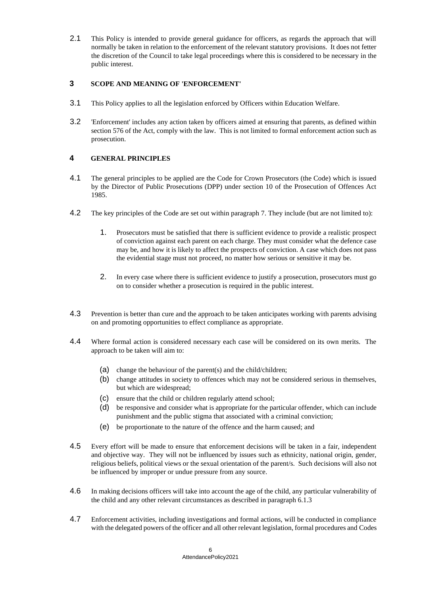2.1 This Policy is intended to provide general guidance for officers, as regards the approach that will normally be taken in relation to the enforcement of the relevant statutory provisions. It does not fetter the discretion of the Council to take legal proceedings where this is considered to be necessary in the public interest.

### **3 SCOPE AND MEANING OF 'ENFORCEMENT'**

- 3.1 This Policy applies to all the legislation enforced by Officers within Education Welfare.
- 3.2 'Enforcement' includes any action taken by officers aimed at ensuring that parents, as defined within section 576 of the Act, comply with the law. This is not limited to formal enforcement action such as prosecution.

#### **4 GENERAL PRINCIPLES**

- 4.1 The general principles to be applied are the Code for Crown Prosecutors (the Code) which is issued by the Director of Public Prosecutions (DPP) under section 10 of the Prosecution of Offences Act 1985.
- 4.2 The key principles of the Code are set out within paragraph 7. They include (but are not limited to):
	- 1. Prosecutors must be satisfied that there is sufficient evidence to provide a realistic prospect of conviction against each parent on each charge. They must consider what the defence case may be, and how it is likely to affect the prospects of conviction. A case which does not pass the evidential stage must not proceed, no matter how serious or sensitive it may be.
	- 2. In every case where there is sufficient evidence to justify a prosecution, prosecutors must go on to consider whether a prosecution is required in the public interest.
- 4.3 Prevention is better than cure and the approach to be taken anticipates working with parents advising on and promoting opportunities to effect compliance as appropriate.
- 4.4 Where formal action is considered necessary each case will be considered on its own merits. The approach to be taken will aim to:
	- (a) change the behaviour of the parent(s) and the child/children;
	- (b) change attitudes in society to offences which may not be considered serious in themselves, but which are widespread;
	- (c) ensure that the child or children regularly attend school;
	- (d) be responsive and consider what is appropriate for the particular offender, which can include punishment and the public stigma that associated with a criminal conviction;
	- (e) be proportionate to the nature of the offence and the harm caused; and
- 4.5 Every effort will be made to ensure that enforcement decisions will be taken in a fair, independent and objective way. They will not be influenced by issues such as ethnicity, national origin, gender, religious beliefs, political views or the sexual orientation of the parent/s. Such decisions will also not be influenced by improper or undue pressure from any source.
- 4.6 In making decisions officers will take into account the age of the child, any particular vulnerability of the child and any other relevant circumstances as described in paragraph 6.1.3
- 4.7 Enforcement activities, including investigations and formal actions, will be conducted in compliance with the delegated powers of the officer and all other relevant legislation, formal procedures and Codes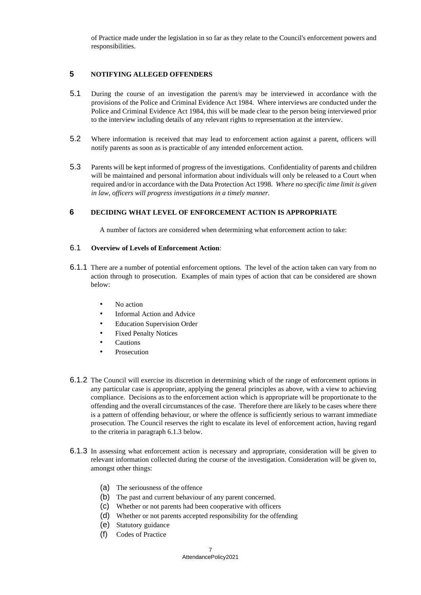of Practice made under the legislation in so far as they relate to the Council's enforcement powers and responsibilities.

### **5 NOTIFYING ALLEGED OFFENDERS**

- 5.1 During the course of an investigation the parent/s may be interviewed in accordance with the provisions of the Police and Criminal Evidence Act 1984. Where interviews are conducted under the Police and Criminal Evidence Act 1984, this will be made clear to the person being interviewed prior to the interview including details of any relevant rights to representation at the interview.
- 5.2 Where information is received that may lead to enforcement action against a parent, officers will notify parents as soon as is practicable of any intended enforcement action.
- 5.3 Parents will be kept informed of progress of the investigations. Confidentiality of parents and children will be maintained and personal information about individuals will only be released to a Court when required and/or in accordance with the Data Protection Act 1998. *Where no specific time limit is given in law, officers will progress investigations in a timely manner.*

#### **6 DECIDING WHAT LEVEL OF ENFORCEMENT ACTION IS APPROPRIATE**

A number of factors are considered when determining what enforcement action to take:

#### 6.1 **Overview of Levels of Enforcement Action**:

- 6.1.1 There are a number of potential enforcement options. The level of the action taken can vary from no action through to prosecution. Examples of main types of action that can be considered are shown below:
	- No action
	- Informal Action and Advice
	- **Education Supervision Order**
	- Fixed Penalty Notices
	- **Cautions**
	- **Prosecution**
- 6.1.2 The Council will exercise its discretion in determining which of the range of enforcement options in any particular case is appropriate, applying the general principles as above, with a view to achieving compliance. Decisions as to the enforcement action which is appropriate will be proportionate to the offending and the overall circumstances of the case. Therefore there are likely to be cases where there is a pattern of offending behaviour, or where the offence is sufficiently serious to warrant immediate prosecution. The Council reserves the right to escalate its level of enforcement action, having regard to the criteria in paragraph 6.1.3 below.
- 6.1.3 In assessing what enforcement action is necessary and appropriate, consideration will be given to relevant information collected during the course of the investigation. Consideration will be given to, amongst other things:
	- (a) The seriousness of the offence
	- (b) The past and current behaviour of any parent concerned.
	- (c) Whether or not parents had been cooperative with officers
	- (d) Whether or not parents accepted responsibility for the offending
	- (e) Statutory guidance
	- (f) Codes of Practice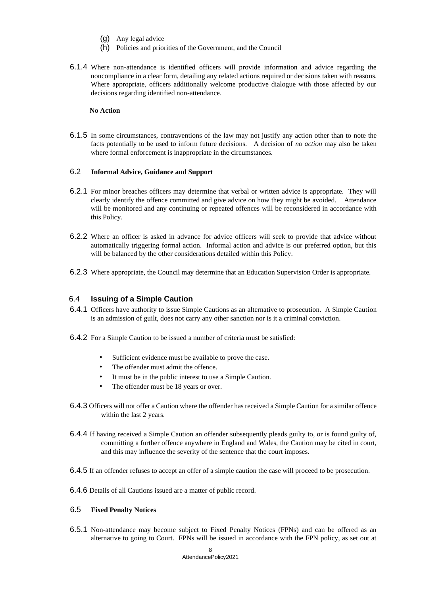- (g) Any legal advice
- (h) Policies and priorities of the Government, and the Council
- 6.1.4 Where non-attendance is identified officers will provide information and advice regarding the noncompliance in a clear form, detailing any related actions required or decisions taken with reasons. Where appropriate, officers additionally welcome productive dialogue with those affected by our decisions regarding identified non-attendance.

#### **No Action**

6.1.5 In some circumstances, contraventions of the law may not justify any action other than to note the facts potentially to be used to inform future decisions. A decision of *no action* may also be taken where formal enforcement is inappropriate in the circumstances.

#### 6.2 **Informal Advice, Guidance and Support**

- 6.2.1 For minor breaches officers may determine that verbal or written advice is appropriate. They will clearly identify the offence committed and give advice on how they might be avoided. Attendance will be monitored and any continuing or repeated offences will be reconsidered in accordance with this Policy.
- 6.2.2 Where an officer is asked in advance for advice officers will seek to provide that advice without automatically triggering formal action. Informal action and advice is our preferred option, but this will be balanced by the other considerations detailed within this Policy.
- 6.2.3 Where appropriate, the Council may determine that an Education Supervision Order is appropriate.

#### 6.4 **Issuing of a Simple Caution**

- 6.4.1 Officers have authority to issue Simple Cautions as an alternative to prosecution. A Simple Caution is an admission of guilt, does not carry any other sanction nor is it a criminal conviction.
- 6.4.2 For a Simple Caution to be issued a number of criteria must be satisfied:
	- Sufficient evidence must be available to prove the case.
	- The offender must admit the offence.
	- It must be in the public interest to use a Simple Caution.
	- The offender must be 18 years or over.
- 6.4.3 Officers will not offer a Caution where the offender has received a Simple Caution for a similar offence within the last 2 years.
- 6.4.4 If having received a Simple Caution an offender subsequently pleads guilty to, or is found guilty of, committing a further offence anywhere in England and Wales, the Caution may be cited in court, and this may influence the severity of the sentence that the court imposes.
- 6.4.5 If an offender refuses to accept an offer of a simple caution the case will proceed to be prosecution.
- 6.4.6 Details of all Cautions issued are a matter of public record.

#### 6.5 **Fixed Penalty Notices**

6.5.1 Non-attendance may become subject to Fixed Penalty Notices (FPNs) and can be offered as an alternative to going to Court. FPNs will be issued in accordance with the FPN policy, as set out at

#### 8 AttendancePolicy2021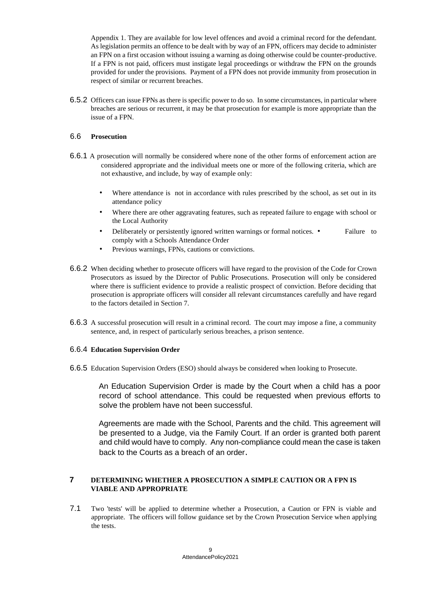Appendix 1. They are available for low level offences and avoid a criminal record for the defendant. As legislation permits an offence to be dealt with by way of an FPN, officers may decide to administer an FPN on a first occasion without issuing a warning as doing otherwise could be counter-productive. If a FPN is not paid, officers must instigate legal proceedings or withdraw the FPN on the grounds provided for under the provisions. Payment of a FPN does not provide immunity from prosecution in respect of similar or recurrent breaches.

6.5.2 Officers can issue FPNs as there is specific power to do so. In some circumstances, in particular where breaches are serious or recurrent, it may be that prosecution for example is more appropriate than the issue of a FPN.

#### 6.6 **Prosecution**

- 6.6.1 A prosecution will normally be considered where none of the other forms of enforcement action are considered appropriate and the individual meets one or more of the following criteria, which are not exhaustive, and include, by way of example only:
	- Where attendance is not in accordance with rules prescribed by the school, as set out in its attendance policy
	- Where there are other aggravating features, such as repeated failure to engage with school or the Local Authority
	- Deliberately or persistently ignored written warnings or formal notices. Failure to comply with a Schools Attendance Order
	- Previous warnings, FPNs, cautions or convictions.
- 6.6.2 When deciding whether to prosecute officers will have regard to the provision of the Code for Crown Prosecutors as issued by the Director of Public Prosecutions. Prosecution will only be considered where there is sufficient evidence to provide a realistic prospect of conviction. Before deciding that prosecution is appropriate officers will consider all relevant circumstances carefully and have regard to the factors detailed in Section 7.
- 6.6.3 A successful prosecution will result in a criminal record. The court may impose a fine, a community sentence, and, in respect of particularly serious breaches, a prison sentence.

#### 6.6.4 **Education Supervision Order**

6.6.5 Education Supervision Orders (ESO) should always be considered when looking to Prosecute.

An Education Supervision Order is made by the Court when a child has a poor record of school attendance. This could be requested when previous efforts to solve the problem have not been successful.

Agreements are made with the School, Parents and the child. This agreement will be presented to a Judge, via the Family Court. If an order is granted both parent and child would have to comply. Any non-compliance could mean the case is taken back to the Courts as a breach of an order.

### **7 DETERMINING WHETHER A PROSECUTION A SIMPLE CAUTION OR A FPN IS VIABLE AND APPROPRIATE**

7.1 Two 'tests' will be applied to determine whether a Prosecution, a Caution or FPN is viable and appropriate. The officers will follow guidance set by the Crown Prosecution Service when applying the tests.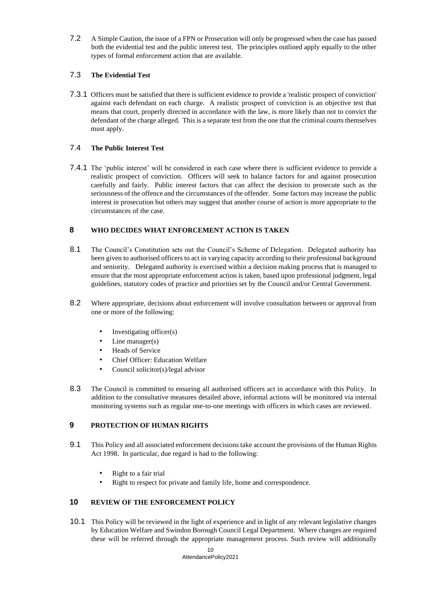7.2 A Simple Caution, the issue of a FPN or Prosecution will only be progressed when the case has passed both the evidential test and the public interest test. The principles outlined apply equally to the other types of formal enforcement action that are available.

### 7.3 **The Evidential Test**

7.3.1 Officers must be satisfied that there is sufficient evidence to provide a 'realistic prospect of conviction' against each defendant on each charge. A realistic prospect of conviction is an objective test that means that court, properly directed in accordance with the law, is more likely than not to convict the defendant of the charge alleged. This is a separate test from the one that the criminal courts themselves must apply.

#### 7.4 **The Public Interest Test**

7.4.1 The 'public interest' will be considered in each case where there is sufficient evidence to provide a realistic prospect of conviction. Officers will seek to balance factors for and against prosecution carefully and fairly. Public interest factors that can affect the decision to prosecute such as the seriousness of the offence and the circumstances of the offender. Some factors may increase the public interest in prosecution but others may suggest that another course of action is more appropriate to the circumstances of the case.

### **8 WHO DECIDES WHAT ENFORCEMENT ACTION IS TAKEN**

- 8.1 The Council's Constitution sets out the Council's Scheme of Delegation. Delegated authority has been given to authorised officers to act in varying capacity according to their professional background and seniority. Delegated authority is exercised within a decision making process that is managed to ensure that the most appropriate enforcement action is taken, based upon professional judgment, legal guidelines, statutory codes of practice and priorities set by the Council and/or Central Government.
- 8.2 Where appropriate, decisions about enforcement will involve consultation between or approval from one or more of the following:
	- Investigating officer(s)
	- Line manager $(s)$
	- Heads of Service
	- Chief Officer: Education Welfare
	- Council solicitor(s)/legal advisor
- 8.3 The Council is committed to ensuring all authorised officers act in accordance with this Policy. In addition to the consultative measures detailed above, informal actions will be monitored via internal monitoring systems such as regular one-to-one meetings with officers in which cases are reviewed.

#### **9 PROTECTION OF HUMAN RIGHTS**

- 9.1 This Policy and all associated enforcement decisions take account the provisions of the Human Rights Act 1998. In particular, due regard is had to the following:
	- Right to a fair trial
	- Right to respect for private and family life, home and correspondence.

#### **10 REVIEW OF THE ENFORCEMENT POLICY**

10.1 This Policy will be reviewed in the light of experience and in light of any relevant legislative changes by Education Welfare and Swindon Borough Council Legal Department. Where changes are required these will be referred through the appropriate management process. Such review will additionally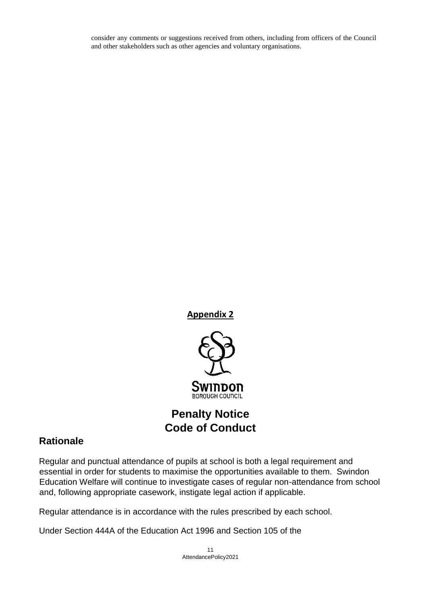consider any comments or suggestions received from others, including from officers of the Council and other stakeholders such as other agencies and voluntary organisations.

**Appendix 2**



# **Penalty Notice Code of Conduct**

# **Rationale**

Regular and punctual attendance of pupils at school is both a legal requirement and essential in order for students to maximise the opportunities available to them. Swindon Education Welfare will continue to investigate cases of regular non-attendance from school and, following appropriate casework, instigate legal action if applicable.

Regular attendance is in accordance with the rules prescribed by each school.

Under Section 444A of the Education Act 1996 and Section 105 of the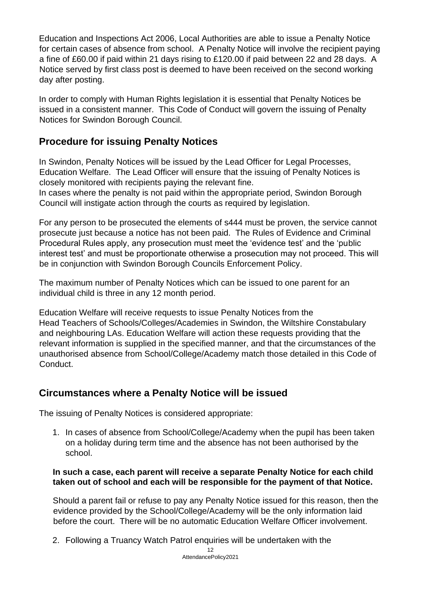Education and Inspections Act 2006, Local Authorities are able to issue a Penalty Notice for certain cases of absence from school. A Penalty Notice will involve the recipient paying a fine of £60.00 if paid within 21 days rising to £120.00 if paid between 22 and 28 days. A Notice served by first class post is deemed to have been received on the second working day after posting.

In order to comply with Human Rights legislation it is essential that Penalty Notices be issued in a consistent manner. This Code of Conduct will govern the issuing of Penalty Notices for Swindon Borough Council.

# **Procedure for issuing Penalty Notices**

In Swindon, Penalty Notices will be issued by the Lead Officer for Legal Processes, Education Welfare. The Lead Officer will ensure that the issuing of Penalty Notices is closely monitored with recipients paying the relevant fine.

In cases where the penalty is not paid within the appropriate period, Swindon Borough Council will instigate action through the courts as required by legislation.

For any person to be prosecuted the elements of s444 must be proven, the service cannot prosecute just because a notice has not been paid. The Rules of Evidence and Criminal Procedural Rules apply, any prosecution must meet the 'evidence test' and the 'public interest test' and must be proportionate otherwise a prosecution may not proceed. This will be in conjunction with Swindon Borough Councils Enforcement Policy.

The maximum number of Penalty Notices which can be issued to one parent for an individual child is three in any 12 month period.

Education Welfare will receive requests to issue Penalty Notices from the Head Teachers of Schools/Colleges/Academies in Swindon, the Wiltshire Constabulary and neighbouring LAs. Education Welfare will action these requests providing that the relevant information is supplied in the specified manner, and that the circumstances of the unauthorised absence from School/College/Academy match those detailed in this Code of Conduct.

# **Circumstances where a Penalty Notice will be issued**

The issuing of Penalty Notices is considered appropriate:

1. In cases of absence from School/College/Academy when the pupil has been taken on a holiday during term time and the absence has not been authorised by the school.

## **In such a case, each parent will receive a separate Penalty Notice for each child taken out of school and each will be responsible for the payment of that Notice.**

Should a parent fail or refuse to pay any Penalty Notice issued for this reason, then the evidence provided by the School/College/Academy will be the only information laid before the court. There will be no automatic Education Welfare Officer involvement.

2. Following a Truancy Watch Patrol enquiries will be undertaken with the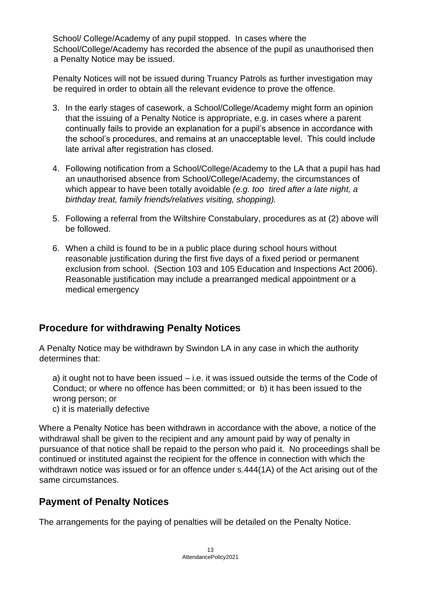School/ College/Academy of any pupil stopped. In cases where the School/College/Academy has recorded the absence of the pupil as unauthorised then a Penalty Notice may be issued.

Penalty Notices will not be issued during Truancy Patrols as further investigation may be required in order to obtain all the relevant evidence to prove the offence.

- 3. In the early stages of casework, a School/College/Academy might form an opinion that the issuing of a Penalty Notice is appropriate, e.g. in cases where a parent continually fails to provide an explanation for a pupil's absence in accordance with the school's procedures, and remains at an unacceptable level. This could include late arrival after registration has closed.
- 4. Following notification from a School/College/Academy to the LA that a pupil has had an unauthorised absence from School/College/Academy, the circumstances of which appear to have been totally avoidable *(e.g. too tired after a late night, a birthday treat, family friends/relatives visiting, shopping).*
- 5. Following a referral from the Wiltshire Constabulary, procedures as at (2) above will be followed.
- 6. When a child is found to be in a public place during school hours without reasonable justification during the first five days of a fixed period or permanent exclusion from school. (Section 103 and 105 Education and Inspections Act 2006). Reasonable justification may include a prearranged medical appointment or a medical emergency

# **Procedure for withdrawing Penalty Notices**

A Penalty Notice may be withdrawn by Swindon LA in any case in which the authority determines that:

a) it ought not to have been issued – i.e. it was issued outside the terms of the Code of Conduct; or where no offence has been committed; or b) it has been issued to the wrong person; or

c) it is materially defective

Where a Penalty Notice has been withdrawn in accordance with the above, a notice of the withdrawal shall be given to the recipient and any amount paid by way of penalty in pursuance of that notice shall be repaid to the person who paid it. No proceedings shall be continued or instituted against the recipient for the offence in connection with which the withdrawn notice was issued or for an offence under s.444(1A) of the Act arising out of the same circumstances.

# **Payment of Penalty Notices**

The arrangements for the paying of penalties will be detailed on the Penalty Notice.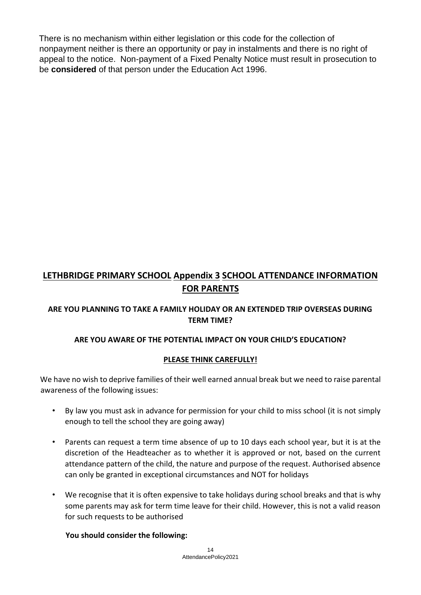There is no mechanism within either legislation or this code for the collection of nonpayment neither is there an opportunity or pay in instalments and there is no right of appeal to the notice. Non-payment of a Fixed Penalty Notice must result in prosecution to be **considered** of that person under the Education Act 1996.

# **LETHBRIDGE PRIMARY SCHOOL Appendix 3 SCHOOL ATTENDANCE INFORMATION FOR PARENTS**

# **ARE YOU PLANNING TO TAKE A FAMILY HOLIDAY OR AN EXTENDED TRIP OVERSEAS DURING TERM TIME?**

## **ARE YOU AWARE OF THE POTENTIAL IMPACT ON YOUR CHILD'S EDUCATION?**

## **PLEASE THINK CAREFULLY!**

We have no wish to deprive families of their well earned annual break but we need to raise parental awareness of the following issues:

- By law you must ask in advance for permission for your child to miss school (it is not simply enough to tell the school they are going away)
- Parents can request a term time absence of up to 10 days each school year, but it is at the discretion of the Headteacher as to whether it is approved or not, based on the current attendance pattern of the child, the nature and purpose of the request. Authorised absence can only be granted in exceptional circumstances and NOT for holidays
- We recognise that it is often expensive to take holidays during school breaks and that is why some parents may ask for term time leave for their child. However, this is not a valid reason for such requests to be authorised

## **You should consider the following:**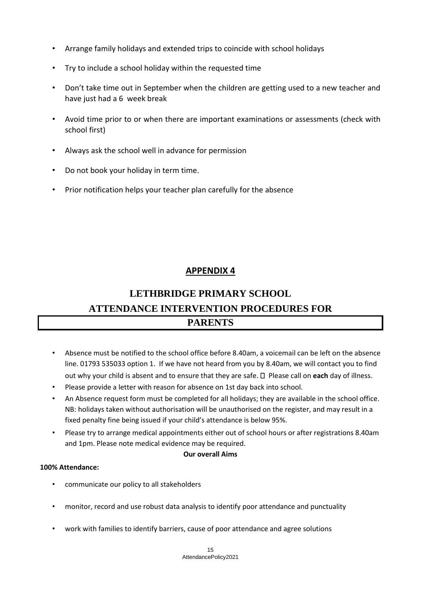- Arrange family holidays and extended trips to coincide with school holidays
- Try to include a school holiday within the requested time
- Don't take time out in September when the children are getting used to a new teacher and have just had a 6 week break
- Avoid time prior to or when there are important examinations or assessments (check with school first)
- Always ask the school well in advance for permission
- Do not book your holiday in term time.
- Prior notification helps your teacher plan carefully for the absence

# **APPENDIX 4**

# **LETHBRIDGE PRIMARY SCHOOL ATTENDANCE INTERVENTION PROCEDURES FOR PARENTS**

- Absence must be notified to the school office before 8.40am, a voicemail can be left on the absence line. 01793 535033 option 1. If we have not heard from you by 8.40am, we will contact you to find out why your child is absent and to ensure that they are safe.  $\Box$  Please call on **each** day of illness.
- Please provide a letter with reason for absence on 1st day back into school.
- An Absence request form must be completed for all holidays; they are available in the school office. NB: holidays taken without authorisation will be unauthorised on the register, and may result in a fixed penalty fine being issued if your child's attendance is below 95%.
- Please try to arrange medical appointments either out of school hours or after registrations 8.40am and 1pm. Please note medical evidence may be required.

### **Our overall Aims**

### **100% Attendance:**

- communicate our policy to all stakeholders
- monitor, record and use robust data analysis to identify poor attendance and punctuality
- work with families to identify barriers, cause of poor attendance and agree solutions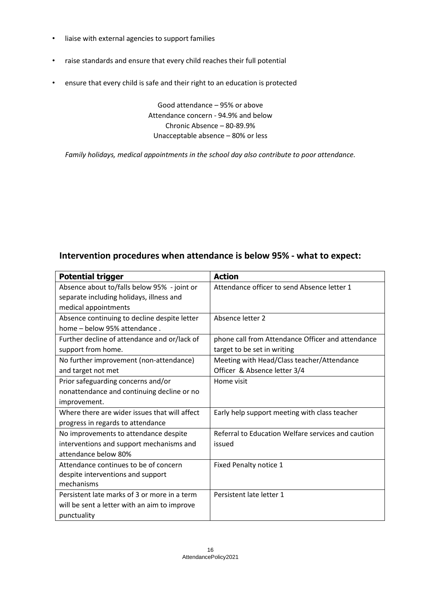- liaise with external agencies to support families
- raise standards and ensure that every child reaches their full potential
- ensure that every child is safe and their right to an education is protected

Good attendance – 95% or above Attendance concern ‐ 94.9% and below Chronic Absence – 80‐89.9% Unacceptable absence – 80% or less

*Family holidays, medical appointments in the school day also contribute to poor attendance.* 

# **Intervention procedures when attendance is below 95% ‐ what to expect:**

| <b>Potential trigger</b>                      | <b>Action</b>                                      |
|-----------------------------------------------|----------------------------------------------------|
| Absence about to/falls below 95% - joint or   | Attendance officer to send Absence letter 1        |
| separate including holidays, illness and      |                                                    |
| medical appointments                          |                                                    |
| Absence continuing to decline despite letter  | Absence letter 2                                   |
| home - below 95% attendance.                  |                                                    |
| Further decline of attendance and or/lack of  | phone call from Attendance Officer and attendance  |
| support from home.                            | target to be set in writing                        |
| No further improvement (non-attendance)       | Meeting with Head/Class teacher/Attendance         |
| and target not met                            | Officer & Absence letter 3/4                       |
| Prior safeguarding concerns and/or            | Home visit                                         |
| nonattendance and continuing decline or no    |                                                    |
| improvement.                                  |                                                    |
| Where there are wider issues that will affect | Early help support meeting with class teacher      |
| progress in regards to attendance             |                                                    |
| No improvements to attendance despite         | Referral to Education Welfare services and caution |
| interventions and support mechanisms and      | issued                                             |
| attendance below 80%                          |                                                    |
| Attendance continues to be of concern         | Fixed Penalty notice 1                             |
| despite interventions and support             |                                                    |
| mechanisms                                    |                                                    |
| Persistent late marks of 3 or more in a term  | Persistent late letter 1                           |
| will be sent a letter with an aim to improve  |                                                    |
| punctuality                                   |                                                    |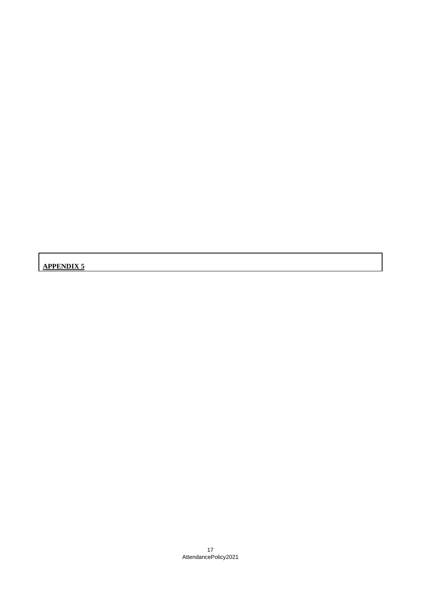**APPENDIX 5**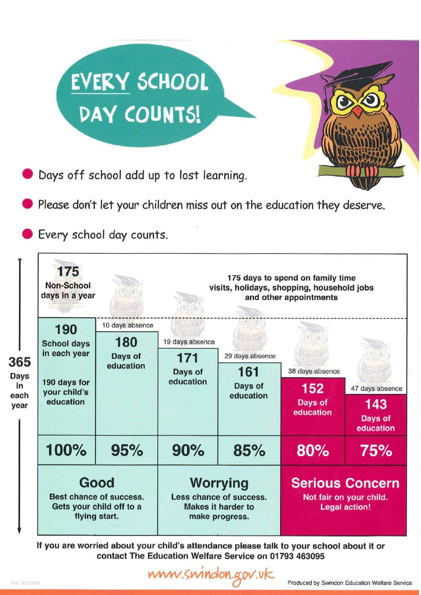|                                          |                                                                                                                                                        | <b>EVERY SCHOOL</b><br>DAY COUNTS!<br>Days off school add up to lost learning.<br>Every school day counts. |                                                                                           | Please don't let your children miss out on the education they deserve. |                                                                           |                                                |
|------------------------------------------|--------------------------------------------------------------------------------------------------------------------------------------------------------|------------------------------------------------------------------------------------------------------------|-------------------------------------------------------------------------------------------|------------------------------------------------------------------------|---------------------------------------------------------------------------|------------------------------------------------|
|                                          | 175<br>175 days to spend on family time<br><b>Non-School</b><br>visits, holidays, shopping, household jobs<br>days in a year<br>and other appointments |                                                                                                            |                                                                                           |                                                                        |                                                                           |                                                |
| 365<br><b>Days</b><br>in<br>each<br>year | 190<br><b>School days</b><br>in each year<br>190 days for<br>your child's<br>education                                                                 | 10 days absence<br>180<br>Days of<br>education                                                             | 19 days absence<br>171<br>Days of<br>education                                            | 29 days absence<br>161<br>Days of<br>education                         | 38 days absence<br>152<br>Days of<br>education                            | 47 days absence<br>143<br>Days of<br>education |
|                                          | 100%                                                                                                                                                   | 95%                                                                                                        | 90%                                                                                       | 85%                                                                    | 80%                                                                       | 75%                                            |
|                                          | Good<br>Best chance of success.<br>Gets your child off to a<br>flying start.                                                                           |                                                                                                            | <b>Worrying</b><br>Less chance of success.<br><b>Makes it harder to</b><br>make progress. |                                                                        | <b>Serious Concern</b><br>Not fair on your child.<br><b>Legal action!</b> |                                                |

If you are worried about your child's attendance please talk to your school about it or<br>contact The Education Welfare Service on 01793 463095

www.swindon.gov.uk